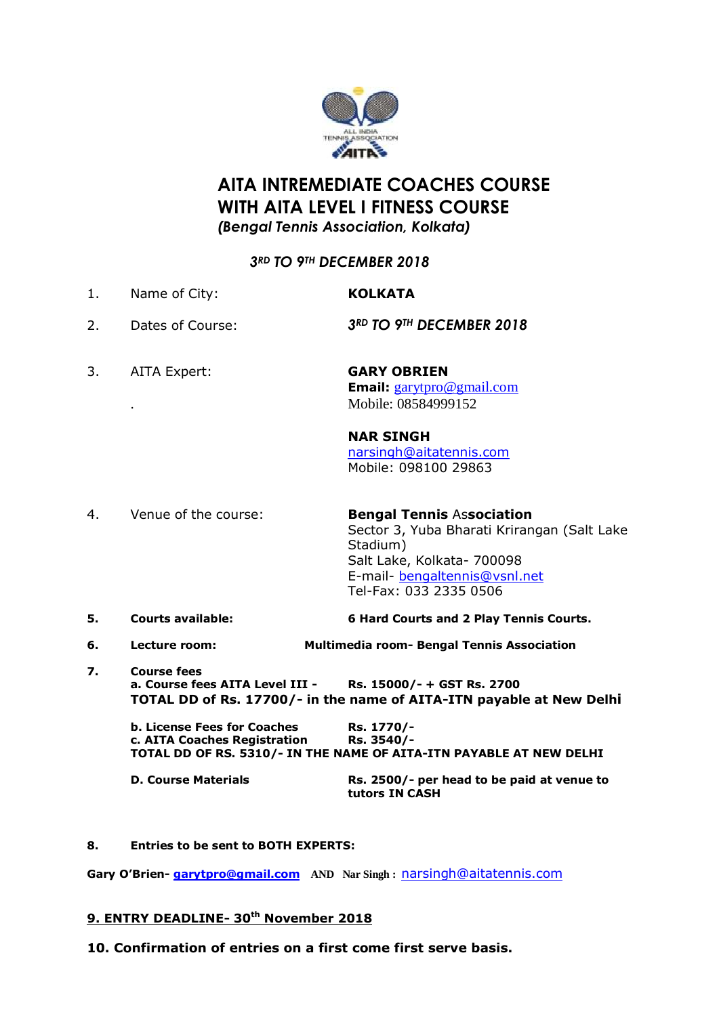

## **AITA INTREMEDIATE COACHES COURSE WITH AITA LEVEL I FITNESS COURSE** *(Bengal Tennis Association, Kolkata)*

## *3RD TO 9TH DECEMBER 2018*

- 1. Name of City: **KOLKATA** 2. Dates of Course: *3RD TO 9TH DECEMBER 2018*
- 
- 3. AITA Expert: **GARY OBRIEN**
- **Email:** [garytpro@gmail.com](mailto:garytpro@gmail.com) . Mobile: 08584999152

### **NAR SINGH**

[narsingh@aitatennis.com](mailto:narsingh@aitatennis.com) Mobile: 098100 29863

- 4. Venue of the course: **Bengal Tennis** As**sociation** Sector 3, Yuba Bharati Krirangan (Salt Lake Stadium) Salt Lake, Kolkata- 700098 E-mail- [bengaltennis@vsnl.net](mailto:bengaltennis@vsnl.net) Tel-Fax: 033 2335 0506
- **5. Courts available: 6 Hard Courts and 2 Play Tennis Courts.**
- **6. Lecture room: Multimedia room- Bengal Tennis Association**
- **7. Course fees a. Course fees AITA Level III - Rs. 15000/- + GST Rs. 2700 TOTAL DD of Rs. 17700/- in the name of AITA-ITN payable at New Delhi**

**b. License Fees for Coaches Rs. 1770/c. AITA Coaches Registration Rs. 3540/- TOTAL DD OF RS. 5310/- IN THE NAME OF AITA-ITN PAYABLE AT NEW DELHI**

**D. Course Materials Rs. 2500/- per head to be paid at venue to tutors IN CASH**

#### **8. Entries to be sent to BOTH EXPERTS:**

**Gary O'Brien- [garytpro@gmail.com](mailto:garytpro@gmail.com) AND Nar Singh :** [narsingh@aitatennis.com](mailto:narsingh@aitatennis.com)

#### **9. ENTRY DEADLINE- 30th November 2018**

**10. Confirmation of entries on a first come first serve basis.**